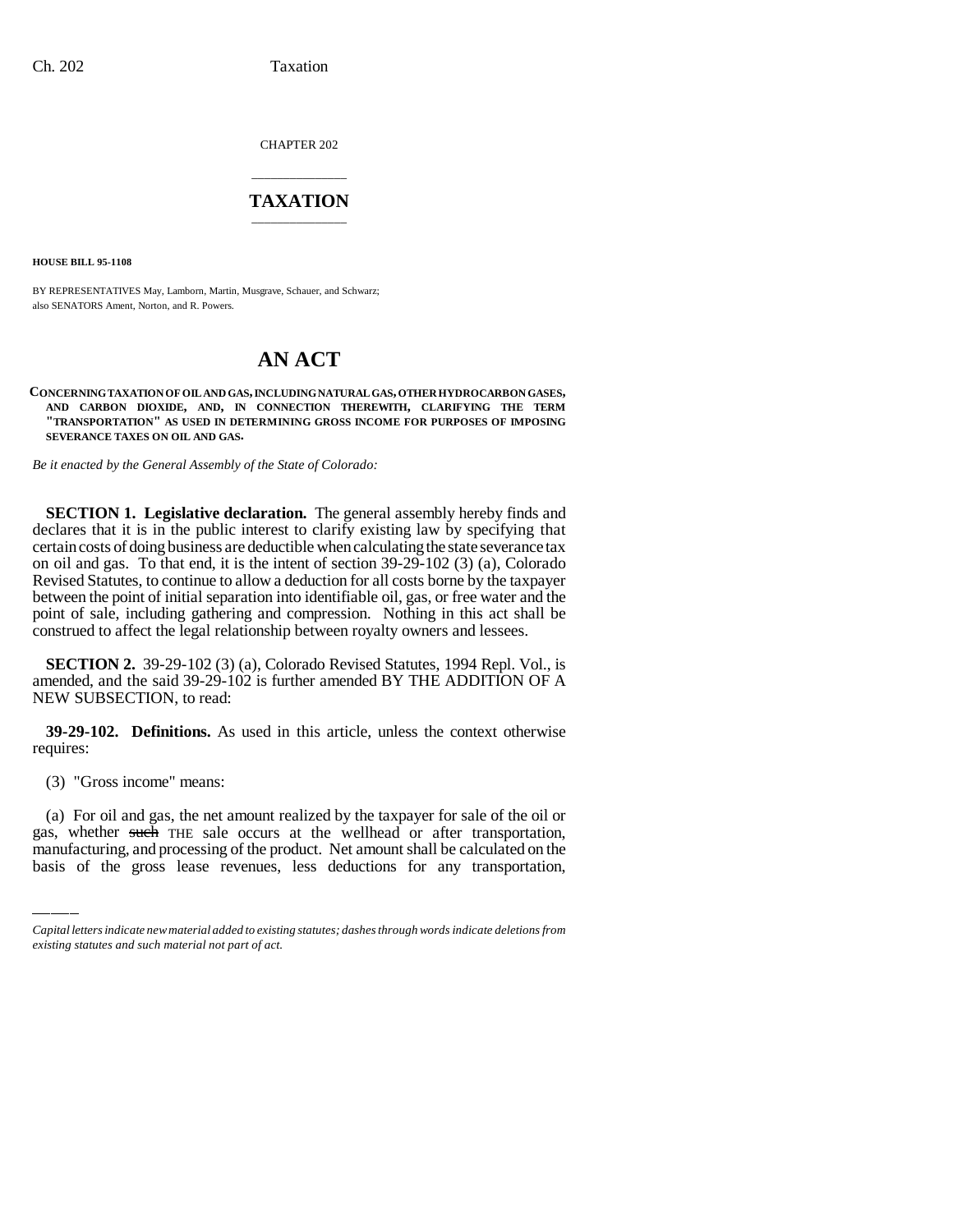CHAPTER 202

## \_\_\_\_\_\_\_\_\_\_\_\_\_\_\_ **TAXATION** \_\_\_\_\_\_\_\_\_\_\_\_\_\_\_

**HOUSE BILL 95-1108**

BY REPRESENTATIVES May, Lamborn, Martin, Musgrave, Schauer, and Schwarz; also SENATORS Ament, Norton, and R. Powers.

## **AN ACT**

**CONCERNING TAXATION OF OIL AND GAS, INCLUDING NATURAL GAS, OTHER HYDROCARBON GASES, AND CARBON DIOXIDE, AND, IN CONNECTION THEREWITH, CLARIFYING THE TERM "TRANSPORTATION" AS USED IN DETERMINING GROSS INCOME FOR PURPOSES OF IMPOSING SEVERANCE TAXES ON OIL AND GAS.**

*Be it enacted by the General Assembly of the State of Colorado:*

**SECTION 1. Legislative declaration.** The general assembly hereby finds and declares that it is in the public interest to clarify existing law by specifying that certain costs of doing business are deductible when calculating the state severance tax on oil and gas. To that end, it is the intent of section 39-29-102 (3) (a), Colorado Revised Statutes, to continue to allow a deduction for all costs borne by the taxpayer between the point of initial separation into identifiable oil, gas, or free water and the point of sale, including gathering and compression. Nothing in this act shall be construed to affect the legal relationship between royalty owners and lessees.

**SECTION 2.** 39-29-102 (3) (a), Colorado Revised Statutes, 1994 Repl. Vol., is amended, and the said 39-29-102 is further amended BY THE ADDITION OF A NEW SUBSECTION, to read:

**39-29-102. Definitions.** As used in this article, unless the context otherwise requires:

 $\mathcal{L}$ (3) "Gross income" means:

(a) For oil and gas, the net amount realized by the taxpayer for sale of the oil or gas, whether such THE sale occurs at the wellhead or after transportation, manufacturing, and processing of the product. Net amount shall be calculated on the basis of the gross lease revenues, less deductions for any transportation,

*Capital letters indicate new material added to existing statutes; dashes through words indicate deletions from existing statutes and such material not part of act.*